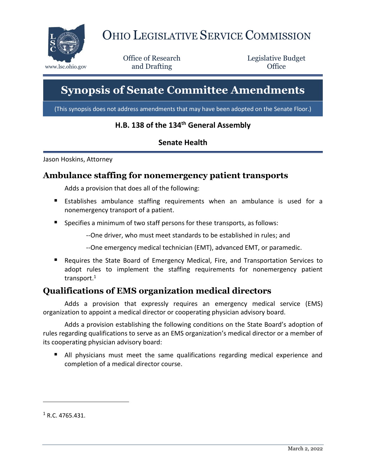

# OHIO LEGISLATIVE SERVICE COMMISSION

Office of Research www.lsc.ohio.gov **and Drafting Office** 

Legislative Budget

# **Synopsis of Senate Committee Amendments**

(This synopsis does not address amendments that may have been adopted on the Senate Floor.)

## **H.B. 138 of the 134th General Assembly**

#### **Senate Health**

Jason Hoskins, Attorney

#### **Ambulance staffing for nonemergency patient transports**

Adds a provision that does all of the following:

- Establishes ambulance staffing requirements when an ambulance is used for a nonemergency transport of a patient.
- **Specifies a minimum of two staff persons for these transports, as follows:** 
	- --One driver, who must meet standards to be established in rules; and
	- --One emergency medical technician (EMT), advanced EMT, or paramedic.
- Requires the State Board of Emergency Medical, Fire, and Transportation Services to adopt rules to implement the staffing requirements for nonemergency patient transport.<sup>1</sup>

# **Qualifications of EMS organization medical directors**

Adds a provision that expressly requires an emergency medical service (EMS) organization to appoint a medical director or cooperating physician advisory board.

Adds a provision establishing the following conditions on the State Board's adoption of rules regarding qualifications to serve as an EMS organization's medical director or a member of its cooperating physician advisory board:

 All physicians must meet the same qualifications regarding medical experience and completion of a medical director course.

 $1 R. C. 4765.431.$ 

 $\overline{a}$